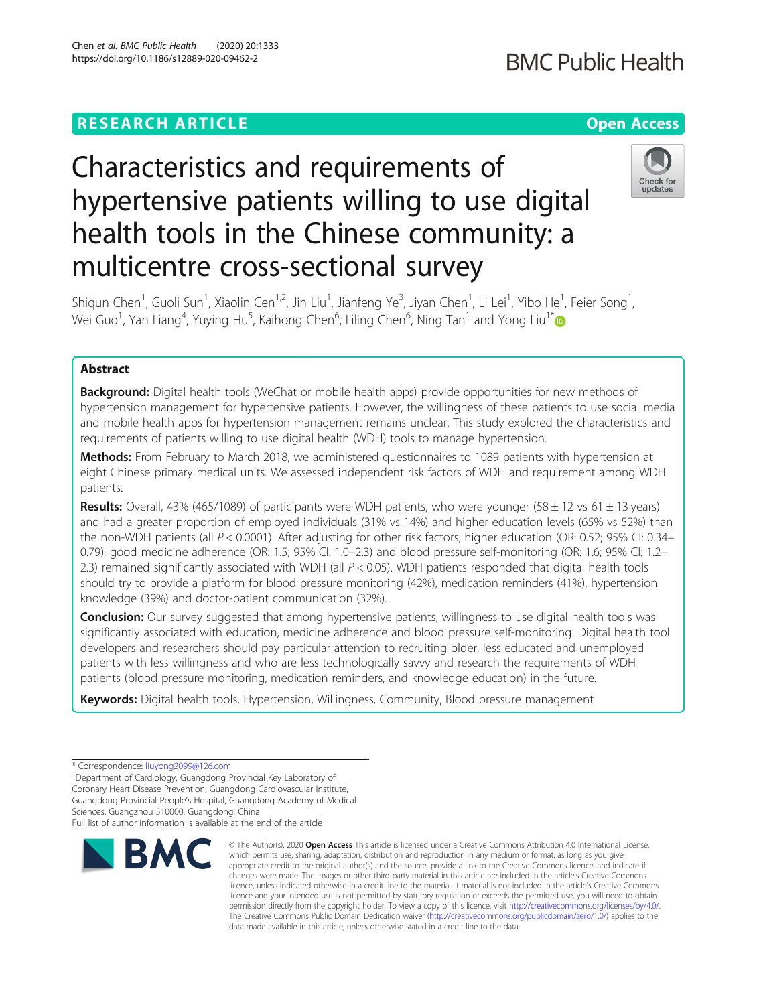### **RESEARCH ARTICLE Example 2014 12:30 The Contract of Contract ACCESS**

## **BMC Public Health**

# Characteristics and requirements of hypertensive patients willing to use digital health tools in the Chinese community: a multicentre cross-sectional survey



Shiqun Chen<sup>1</sup>, Guoli Sun<sup>1</sup>, Xiaolin Cen<sup>1,2</sup>, Jin Liu<sup>1</sup>, Jianfeng Ye<sup>3</sup>, Jiyan Chen<sup>1</sup>, Li Lei<sup>1</sup>, Yibo He<sup>1</sup>, Feier Song<sup>1</sup> , Wei Guo $^1$ , Yan Liang $^4$ , Yuying Hu $^5$ , Kaihong Chen $^6$ , Liling Chen $^6$ , Ning Tan $^1$  and Yong Liu $^1{}^*$  $^1{}^*$ 

### Abstract

**Background:** Digital health tools (WeChat or mobile health apps) provide opportunities for new methods of hypertension management for hypertensive patients. However, the willingness of these patients to use social media and mobile health apps for hypertension management remains unclear. This study explored the characteristics and requirements of patients willing to use digital health (WDH) tools to manage hypertension.

Methods: From February to March 2018, we administered questionnaires to 1089 patients with hypertension at eight Chinese primary medical units. We assessed independent risk factors of WDH and requirement among WDH patients.

Results: Overall, 43% (465/1089) of participants were WDH patients, who were younger (58 ± 12 vs 61 ± 13 years) and had a greater proportion of employed individuals (31% vs 14%) and higher education levels (65% vs 52%) than the non-WDH patients (all P < 0.0001). After adjusting for other risk factors, higher education (OR: 0.52; 95% CI: 0.34– 0.79), good medicine adherence (OR: 1.5; 95% CI: 1.0–2.3) and blood pressure self-monitoring (OR: 1.6; 95% CI: 1.2– 2.3) remained significantly associated with WDH (all  $P < 0.05$ ). WDH patients responded that digital health tools should try to provide a platform for blood pressure monitoring (42%), medication reminders (41%), hypertension knowledge (39%) and doctor-patient communication (32%).

Conclusion: Our survey suggested that among hypertensive patients, willingness to use digital health tools was significantly associated with education, medicine adherence and blood pressure self-monitoring. Digital health tool developers and researchers should pay particular attention to recruiting older, less educated and unemployed patients with less willingness and who are less technologically savvy and research the requirements of WDH patients (blood pressure monitoring, medication reminders, and knowledge education) in the future.

Keywords: Digital health tools, Hypertension, Willingness, Community, Blood pressure management

Full list of author information is available at the end of the article



<sup>©</sup> The Author(s), 2020 **Open Access** This article is licensed under a Creative Commons Attribution 4.0 International License, which permits use, sharing, adaptation, distribution and reproduction in any medium or format, as long as you give appropriate credit to the original author(s) and the source, provide a link to the Creative Commons licence, and indicate if changes were made. The images or other third party material in this article are included in the article's Creative Commons licence, unless indicated otherwise in a credit line to the material. If material is not included in the article's Creative Commons licence and your intended use is not permitted by statutory regulation or exceeds the permitted use, you will need to obtain permission directly from the copyright holder. To view a copy of this licence, visit [http://creativecommons.org/licenses/by/4.0/.](http://creativecommons.org/licenses/by/4.0/) The Creative Commons Public Domain Dedication waiver [\(http://creativecommons.org/publicdomain/zero/1.0/](http://creativecommons.org/publicdomain/zero/1.0/)) applies to the data made available in this article, unless otherwise stated in a credit line to the data.

<sup>\*</sup> Correspondence: [liuyong2099@126.com](mailto:liuyong2099@126.com) <sup>1</sup>

<sup>&</sup>lt;sup>1</sup>Department of Cardiology, Guangdong Provincial Key Laboratory of Coronary Heart Disease Prevention, Guangdong Cardiovascular Institute, Guangdong Provincial People's Hospital, Guangdong Academy of Medical Sciences, Guangzhou 510000, Guangdong, China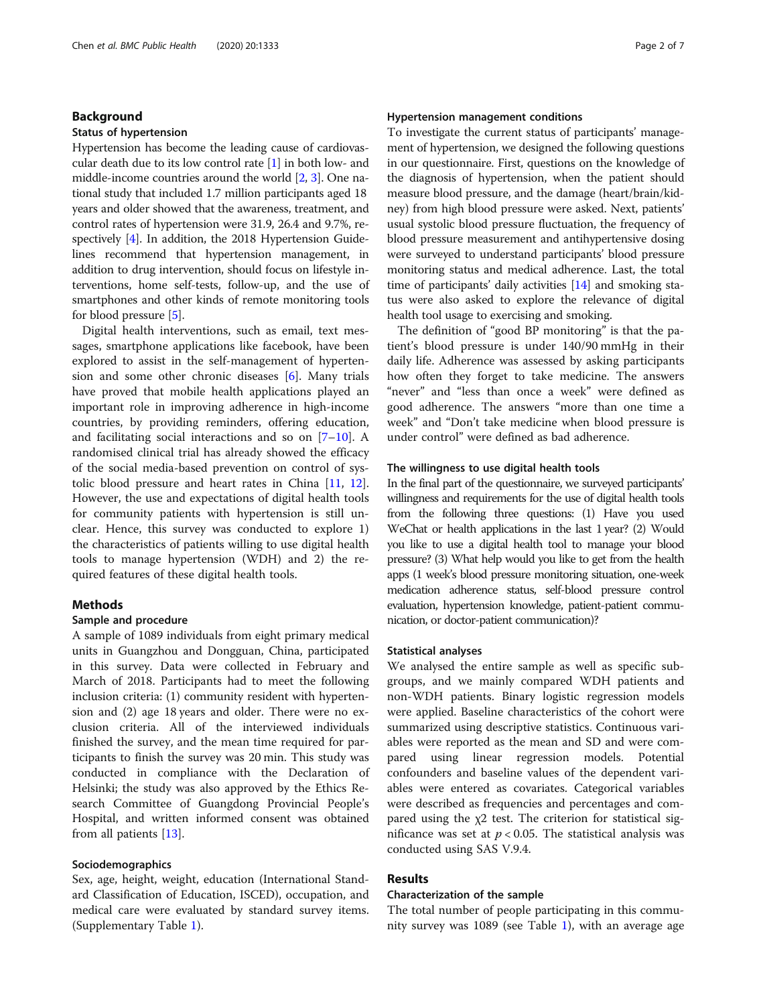#### Background

#### Status of hypertension

Hypertension has become the leading cause of cardiovascular death due to its low control rate [\[1](#page-5-0)] in both low- and middle-income countries around the world [\[2,](#page-5-0) [3\]](#page-5-0). One national study that included 1.7 million participants aged 18 years and older showed that the awareness, treatment, and control rates of hypertension were 31.9, 26.4 and 9.7%, respectively [[4\]](#page-5-0). In addition, the 2018 Hypertension Guidelines recommend that hypertension management, in addition to drug intervention, should focus on lifestyle interventions, home self-tests, follow-up, and the use of smartphones and other kinds of remote monitoring tools for blood pressure [\[5](#page-5-0)].

Digital health interventions, such as email, text messages, smartphone applications like facebook, have been explored to assist in the self-management of hypertension and some other chronic diseases [\[6](#page-5-0)]. Many trials have proved that mobile health applications played an important role in improving adherence in high-income countries, by providing reminders, offering education, and facilitating social interactions and so on  $[7-10]$  $[7-10]$  $[7-10]$ . A randomised clinical trial has already showed the efficacy of the social media-based prevention on control of systolic blood pressure and heart rates in China [[11,](#page-5-0) [12](#page-5-0)]. However, the use and expectations of digital health tools for community patients with hypertension is still unclear. Hence, this survey was conducted to explore 1) the characteristics of patients willing to use digital health tools to manage hypertension (WDH) and 2) the required features of these digital health tools.

#### Methods

#### Sample and procedure

A sample of 1089 individuals from eight primary medical units in Guangzhou and Dongguan, China, participated in this survey. Data were collected in February and March of 2018. Participants had to meet the following inclusion criteria: (1) community resident with hypertension and (2) age 18 years and older. There were no exclusion criteria. All of the interviewed individuals finished the survey, and the mean time required for participants to finish the survey was 20 min. This study was conducted in compliance with the Declaration of Helsinki; the study was also approved by the Ethics Research Committee of Guangdong Provincial People's Hospital, and written informed consent was obtained from all patients [\[13\]](#page-5-0).

#### Sociodemographics

Sex, age, height, weight, education (International Standard Classification of Education, ISCED), occupation, and medical care were evaluated by standard survey items. (Supplementary Table [1\)](#page-4-0).

#### Hypertension management conditions

To investigate the current status of participants' management of hypertension, we designed the following questions in our questionnaire. First, questions on the knowledge of the diagnosis of hypertension, when the patient should measure blood pressure, and the damage (heart/brain/kidney) from high blood pressure were asked. Next, patients' usual systolic blood pressure fluctuation, the frequency of blood pressure measurement and antihypertensive dosing were surveyed to understand participants' blood pressure monitoring status and medical adherence. Last, the total time of participants' daily activities [\[14\]](#page-5-0) and smoking status were also asked to explore the relevance of digital health tool usage to exercising and smoking.

The definition of "good BP monitoring" is that the patient's blood pressure is under 140/90 mmHg in their daily life. Adherence was assessed by asking participants how often they forget to take medicine. The answers "never" and "less than once a week" were defined as good adherence. The answers "more than one time a week" and "Don't take medicine when blood pressure is under control" were defined as bad adherence.

#### The willingness to use digital health tools

In the final part of the questionnaire, we surveyed participants' willingness and requirements for the use of digital health tools from the following three questions: (1) Have you used WeChat or health applications in the last 1 year? (2) Would you like to use a digital health tool to manage your blood pressure? (3) What help would you like to get from the health apps (1 week's blood pressure monitoring situation, one-week medication adherence status, self-blood pressure control evaluation, hypertension knowledge, patient-patient communication, or doctor-patient communication)?

#### Statistical analyses

We analysed the entire sample as well as specific subgroups, and we mainly compared WDH patients and non-WDH patients. Binary logistic regression models were applied. Baseline characteristics of the cohort were summarized using descriptive statistics. Continuous variables were reported as the mean and SD and were compared using linear regression models. Potential confounders and baseline values of the dependent variables were entered as covariates. Categorical variables were described as frequencies and percentages and compared using the  $χ2$  test. The criterion for statistical significance was set at  $p < 0.05$ . The statistical analysis was conducted using SAS V.9.4.

#### Results

#### Characterization of the sample

The total number of people participating in this community survey was 1089 (see Table [1\)](#page-2-0), with an average age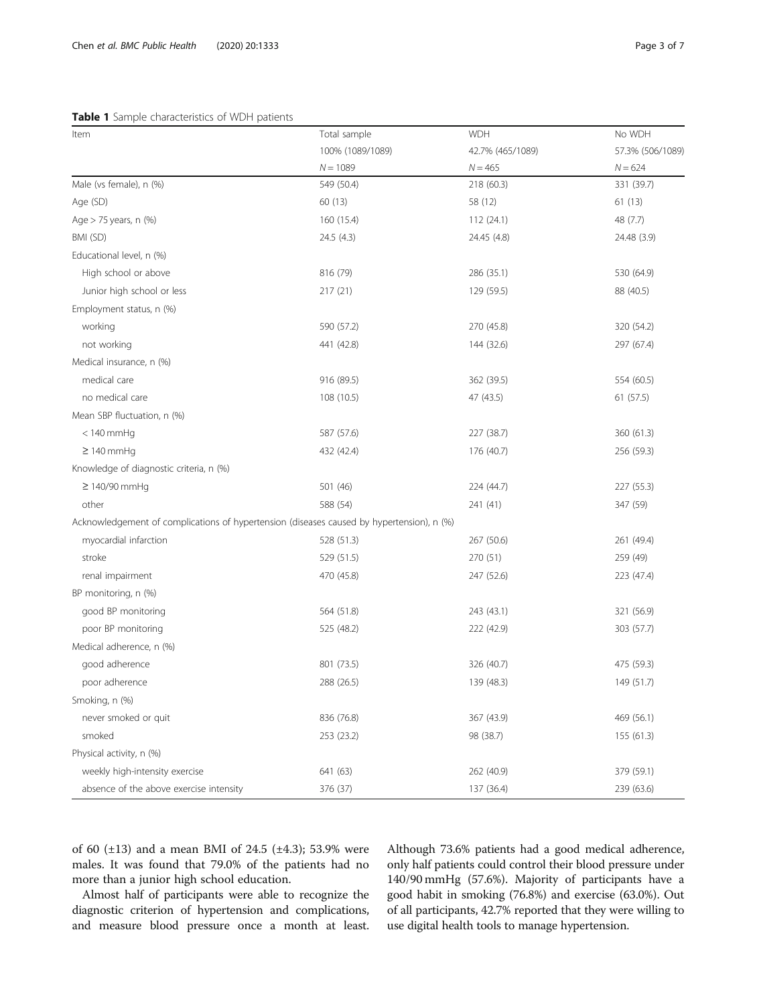#### <span id="page-2-0"></span>Table 1 Sample characteristics of WDH patients

| Item                                                                                      | Total sample<br>100% (1089/1089)<br>$N = 1089$ | WDH              | No WDH<br>57.3% (506/1089)<br>$N = 624$ |
|-------------------------------------------------------------------------------------------|------------------------------------------------|------------------|-----------------------------------------|
|                                                                                           |                                                | 42.7% (465/1089) |                                         |
|                                                                                           |                                                | $N = 465$        |                                         |
| Male (vs female), n (%)                                                                   | 549 (50.4)                                     | 218 (60.3)       | 331 (39.7)                              |
| Age (SD)                                                                                  | 60 (13)                                        | 58 (12)          | 61(13)                                  |
| Age $>$ 75 years, n $(\%)$                                                                | 160 (15.4)                                     | 112 (24.1)       | 48 (7.7)                                |
| BMI (SD)                                                                                  | 24.5 (4.3)                                     | 24.45 (4.8)      | 24.48 (3.9)                             |
| Educational level, n (%)                                                                  |                                                |                  |                                         |
| High school or above                                                                      | 816 (79)                                       | 286 (35.1)       | 530 (64.9)                              |
| Junior high school or less                                                                | 217(21)                                        | 129 (59.5)       | 88 (40.5)                               |
| Employment status, n (%)                                                                  |                                                |                  |                                         |
| working                                                                                   | 590 (57.2)                                     | 270 (45.8)       | 320 (54.2)                              |
| not working                                                                               | 441 (42.8)                                     | 144 (32.6)       | 297 (67.4)                              |
| Medical insurance, n (%)                                                                  |                                                |                  |                                         |
| medical care                                                                              | 916 (89.5)                                     | 362 (39.5)       | 554 (60.5)                              |
| no medical care                                                                           | 108 (10.5)                                     | 47 (43.5)        | 61 (57.5)                               |
| Mean SBP fluctuation, n (%)                                                               |                                                |                  |                                         |
| $< 140$ mmHg                                                                              | 587 (57.6)                                     | 227 (38.7)       | 360 (61.3)                              |
| $\geq$ 140 mmHg                                                                           | 432 (42.4)                                     | 176 (40.7)       | 256 (59.3)                              |
| Knowledge of diagnostic criteria, n (%)                                                   |                                                |                  |                                         |
| ≥ 140/90 mmHg                                                                             | 501 (46)                                       | 224 (44.7)       | 227 (55.3)                              |
| other                                                                                     | 588 (54)                                       | 241 (41)         | 347 (59)                                |
| Acknowledgement of complications of hypertension (diseases caused by hypertension), n (%) |                                                |                  |                                         |
| myocardial infarction                                                                     | 528 (51.3)                                     | 267 (50.6)       | 261 (49.4)                              |
| stroke                                                                                    | 529 (51.5)                                     | 270 (51)         | 259 (49)                                |
| renal impairment                                                                          | 470 (45.8)                                     | 247 (52.6)       | 223 (47.4)                              |
| BP monitoring, n (%)                                                                      |                                                |                  |                                         |
| good BP monitoring                                                                        | 564 (51.8)                                     | 243 (43.1)       | 321 (56.9)                              |
| poor BP monitoring                                                                        | 525 (48.2)                                     | 222 (42.9)       | 303 (57.7)                              |
| Medical adherence, n (%)                                                                  |                                                |                  |                                         |
| good adherence                                                                            | 801 (73.5)                                     | 326 (40.7)       | 475 (59.3)                              |
| poor adherence                                                                            | 288 (26.5)                                     | 139 (48.3)       | 149 (51.7)                              |
| Smoking, n (%)                                                                            |                                                |                  |                                         |
| never smoked or quit                                                                      | 836 (76.8)                                     | 367 (43.9)       | 469 (56.1)                              |
| smoked                                                                                    | 253 (23.2)                                     | 98 (38.7)        | 155(61.3)                               |
| Physical activity, n (%)                                                                  |                                                |                  |                                         |
| weekly high-intensity exercise                                                            | 641 (63)                                       | 262 (40.9)       | 379 (59.1)                              |
| absence of the above exercise intensity                                                   | 376 (37)                                       | 137 (36.4)       | 239 (63.6)                              |

of 60  $(\pm 13)$  and a mean BMI of 24.5  $(\pm 4.3)$ ; 53.9% were males. It was found that 79.0% of the patients had no more than a junior high school education.

Almost half of participants were able to recognize the diagnostic criterion of hypertension and complications, and measure blood pressure once a month at least.

Although 73.6% patients had a good medical adherence, only half patients could control their blood pressure under 140/90 mmHg (57.6%). Majority of participants have a good habit in smoking (76.8%) and exercise (63.0%). Out of all participants, 42.7% reported that they were willing to use digital health tools to manage hypertension.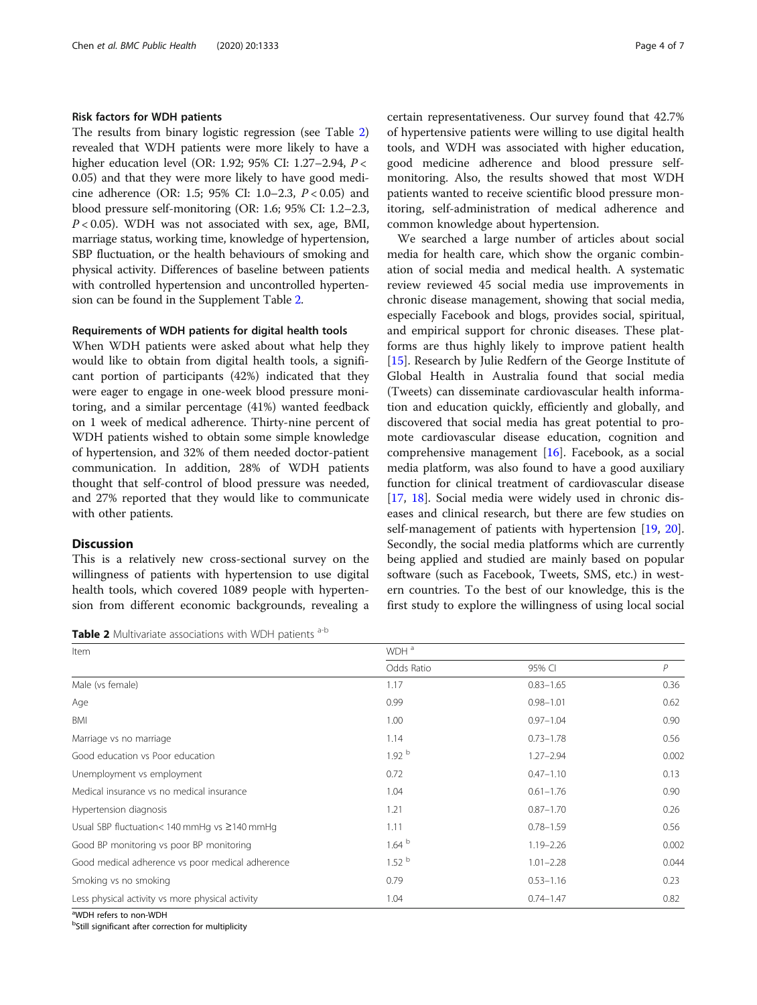#### Risk factors for WDH patients

The results from binary logistic regression (see Table 2) revealed that WDH patients were more likely to have a higher education level (OR: 1.92; 95% CI: 1.27–2.94, P < 0.05) and that they were more likely to have good medicine adherence (OR: 1.5; 95% CI: 1.0–2.3, P < 0.05) and blood pressure self-monitoring (OR: 1.6; 95% CI: 1.2–2.3,  $P < 0.05$ ). WDH was not associated with sex, age, BMI, marriage status, working time, knowledge of hypertension, SBP fluctuation, or the health behaviours of smoking and physical activity. Differences of baseline between patients with controlled hypertension and uncontrolled hypertension can be found in the Supplement Table [2.](#page-5-0)

#### Requirements of WDH patients for digital health tools

When WDH patients were asked about what help they would like to obtain from digital health tools, a significant portion of participants (42%) indicated that they were eager to engage in one-week blood pressure monitoring, and a similar percentage (41%) wanted feedback on 1 week of medical adherence. Thirty-nine percent of WDH patients wished to obtain some simple knowledge of hypertension, and 32% of them needed doctor-patient communication. In addition, 28% of WDH patients thought that self-control of blood pressure was needed, and 27% reported that they would like to communicate with other patients.

#### Discussion

This is a relatively new cross-sectional survey on the willingness of patients with hypertension to use digital health tools, which covered 1089 people with hypertension from different economic backgrounds, revealing a

Table 2 Multivariate associations with WDH patients a-b

certain representativeness. Our survey found that 42.7% of hypertensive patients were willing to use digital health tools, and WDH was associated with higher education, good medicine adherence and blood pressure selfmonitoring. Also, the results showed that most WDH patients wanted to receive scientific blood pressure monitoring, self-administration of medical adherence and common knowledge about hypertension.

We searched a large number of articles about social media for health care, which show the organic combination of social media and medical health. A systematic review reviewed 45 social media use improvements in chronic disease management, showing that social media, especially Facebook and blogs, provides social, spiritual, and empirical support for chronic diseases. These platforms are thus highly likely to improve patient health [[15\]](#page-5-0). Research by Julie Redfern of the George Institute of Global Health in Australia found that social media (Tweets) can disseminate cardiovascular health information and education quickly, efficiently and globally, and discovered that social media has great potential to promote cardiovascular disease education, cognition and comprehensive management [\[16](#page-5-0)]. Facebook, as a social media platform, was also found to have a good auxiliary function for clinical treatment of cardiovascular disease [[17,](#page-5-0) [18\]](#page-5-0). Social media were widely used in chronic diseases and clinical research, but there are few studies on self-management of patients with hypertension [[19](#page-5-0), [20](#page-5-0)]. Secondly, the social media platforms which are currently being applied and studied are mainly based on popular software (such as Facebook, Tweets, SMS, etc.) in western countries. To the best of our knowledge, this is the first study to explore the willingness of using local social

| Item                                             | WDH <sup>a</sup>  |               |              |
|--------------------------------------------------|-------------------|---------------|--------------|
|                                                  | Odds Ratio        | 95% CI        | $\mathcal P$ |
| Male (vs female)                                 | 1.17              | $0.83 - 1.65$ | 0.36         |
| Age                                              | 0.99              | $0.98 - 1.01$ | 0.62         |
| BMI                                              | 1.00              | $0.97 - 1.04$ | 0.90         |
| Marriage vs no marriage                          | 1.14              | $0.73 - 1.78$ | 0.56         |
| Good education vs Poor education                 | 1.92 <sup>b</sup> | $1.27 - 2.94$ | 0.002        |
| Unemployment vs employment                       | 0.72              | $0.47 - 1.10$ | 0.13         |
| Medical insurance vs no medical insurance        | 1.04              | $0.61 - 1.76$ | 0.90         |
| Hypertension diagnosis                           | 1.21              | $0.87 - 1.70$ | 0.26         |
| Usual SBP fluctuation< 140 mmHg vs ≥140 mmHg     | 1.11              | $0.78 - 1.59$ | 0.56         |
| Good BP monitoring vs poor BP monitoring         | 1.64 <sup>b</sup> | $1.19 - 2.26$ | 0.002        |
| Good medical adherence vs poor medical adherence | 1.52 <sup>b</sup> | $1.01 - 2.28$ | 0.044        |
| Smoking vs no smoking                            | 0.79              | $0.53 - 1.16$ | 0.23         |
| Less physical activity vs more physical activity | 1.04              | $0.74 - 1.47$ | 0.82         |

<sup>a</sup>WDH refers to non-WDH

**bStill significant after correction for multiplicity**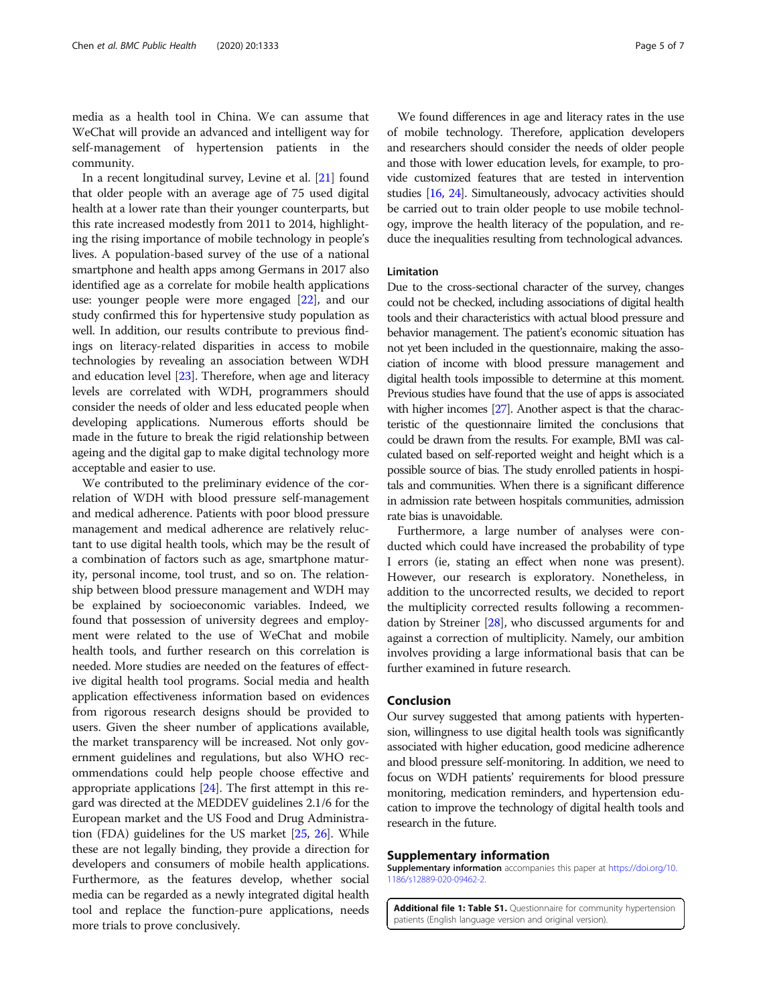<span id="page-4-0"></span>media as a health tool in China. We can assume that WeChat will provide an advanced and intelligent way for self-management of hypertension patients in the community.

In a recent longitudinal survey, Levine et al. [[21](#page-6-0)] found that older people with an average age of 75 used digital health at a lower rate than their younger counterparts, but this rate increased modestly from 2011 to 2014, highlighting the rising importance of mobile technology in people's lives. A population-based survey of the use of a national smartphone and health apps among Germans in 2017 also identified age as a correlate for mobile health applications use: younger people were more engaged [[22\]](#page-6-0), and our study confirmed this for hypertensive study population as well. In addition, our results contribute to previous findings on literacy-related disparities in access to mobile technologies by revealing an association between WDH and education level [[23](#page-6-0)]. Therefore, when age and literacy levels are correlated with WDH, programmers should consider the needs of older and less educated people when developing applications. Numerous efforts should be made in the future to break the rigid relationship between ageing and the digital gap to make digital technology more acceptable and easier to use.

We contributed to the preliminary evidence of the correlation of WDH with blood pressure self-management and medical adherence. Patients with poor blood pressure management and medical adherence are relatively reluctant to use digital health tools, which may be the result of a combination of factors such as age, smartphone maturity, personal income, tool trust, and so on. The relationship between blood pressure management and WDH may be explained by socioeconomic variables. Indeed, we found that possession of university degrees and employment were related to the use of WeChat and mobile health tools, and further research on this correlation is needed. More studies are needed on the features of effective digital health tool programs. Social media and health application effectiveness information based on evidences from rigorous research designs should be provided to users. Given the sheer number of applications available, the market transparency will be increased. Not only government guidelines and regulations, but also WHO recommendations could help people choose effective and appropriate applications [\[24\]](#page-6-0). The first attempt in this regard was directed at the MEDDEV guidelines 2.1/6 for the European market and the US Food and Drug Administration (FDA) guidelines for the US market [\[25,](#page-6-0) [26](#page-6-0)]. While these are not legally binding, they provide a direction for developers and consumers of mobile health applications. Furthermore, as the features develop, whether social media can be regarded as a newly integrated digital health tool and replace the function-pure applications, needs more trials to prove conclusively.

We found differences in age and literacy rates in the use of mobile technology. Therefore, application developers and researchers should consider the needs of older people and those with lower education levels, for example, to provide customized features that are tested in intervention studies [\[16,](#page-5-0) [24\]](#page-6-0). Simultaneously, advocacy activities should be carried out to train older people to use mobile technology, improve the health literacy of the population, and reduce the inequalities resulting from technological advances.

#### Limitation

Due to the cross-sectional character of the survey, changes could not be checked, including associations of digital health tools and their characteristics with actual blood pressure and behavior management. The patient's economic situation has not yet been included in the questionnaire, making the association of income with blood pressure management and digital health tools impossible to determine at this moment. Previous studies have found that the use of apps is associated with higher incomes [[27\]](#page-6-0). Another aspect is that the characteristic of the questionnaire limited the conclusions that could be drawn from the results. For example, BMI was calculated based on self-reported weight and height which is a possible source of bias. The study enrolled patients in hospitals and communities. When there is a significant difference in admission rate between hospitals communities, admission rate bias is unavoidable.

Furthermore, a large number of analyses were conducted which could have increased the probability of type I errors (ie, stating an effect when none was present). However, our research is exploratory. Nonetheless, in addition to the uncorrected results, we decided to report the multiplicity corrected results following a recommendation by Streiner [\[28\]](#page-6-0), who discussed arguments for and against a correction of multiplicity. Namely, our ambition involves providing a large informational basis that can be further examined in future research.

#### Conclusion

Our survey suggested that among patients with hypertension, willingness to use digital health tools was significantly associated with higher education, good medicine adherence and blood pressure self-monitoring. In addition, we need to focus on WDH patients' requirements for blood pressure monitoring, medication reminders, and hypertension education to improve the technology of digital health tools and research in the future.

#### Supplementary information

Supplementary information accompanies this paper at [https://doi.org/10.](https://doi.org/10.1186/s12889-020-09462-2) [1186/s12889-020-09462-2](https://doi.org/10.1186/s12889-020-09462-2).

Additional file 1: Table S1. Questionnaire for community hypertension patients (English language version and original version).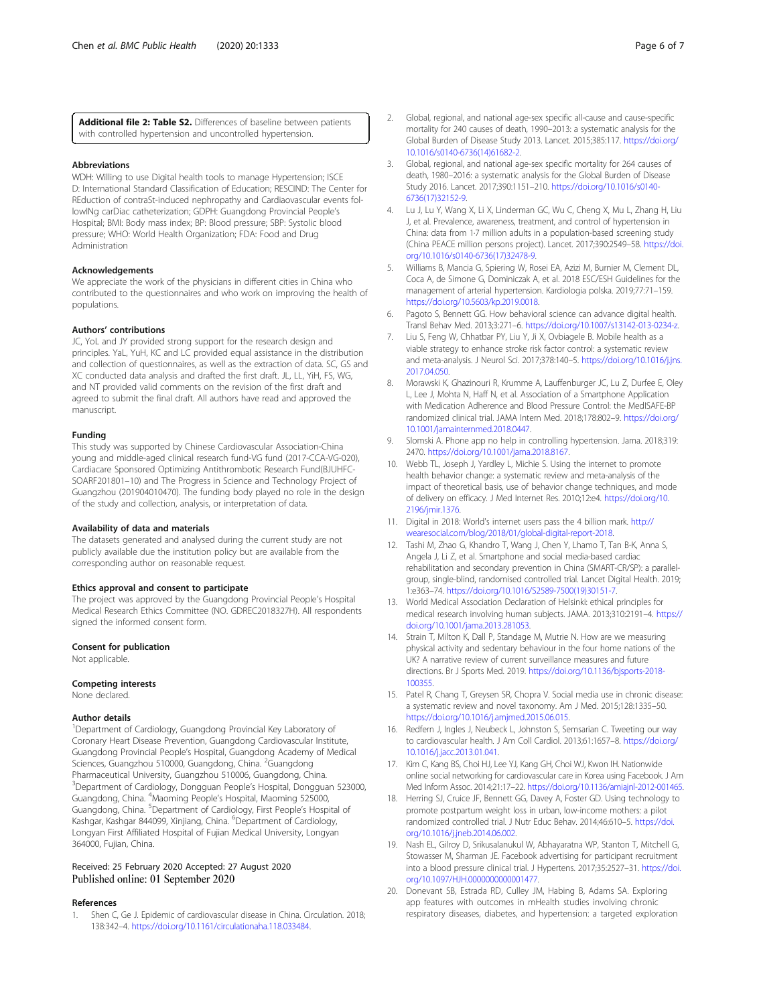<span id="page-5-0"></span>Additional file 2: Table S2. Differences of baseline between patients with controlled hypertension and uncontrolled hypertension.

#### Abbreviations

WDH: Willing to use Digital health tools to manage Hypertension; ISCE D: International Standard Classification of Education; RESCIND: The Center for REduction of contraSt-induced nephropathy and Cardiaovascular events followINg carDiac catheterization; GDPH: Guangdong Provincial People's Hospital; BMI: Body mass index; BP: Blood pressure; SBP: Systolic blood pressure; WHO: World Health Organization; FDA: Food and Drug Administration

#### Acknowledgements

We appreciate the work of the physicians in different cities in China who contributed to the questionnaires and who work on improving the health of populations.

#### Authors' contributions

JC, YoL and JY provided strong support for the research design and principles. YaL, YuH, KC and LC provided equal assistance in the distribution and collection of questionnaires, as well as the extraction of data. SC, GS and XC conducted data analysis and drafted the first draft. JL, LL, YiH, FS, WG, and NT provided valid comments on the revision of the first draft and agreed to submit the final draft. All authors have read and approved the manuscript.

#### Funding

This study was supported by Chinese Cardiovascular Association-China young and middle-aged clinical research fund-VG fund (2017-CCA-VG-020), Cardiacare Sponsored Optimizing Antithrombotic Research Fund(BJUHFC-SOARF201801–10) and The Progress in Science and Technology Project of Guangzhou (201904010470). The funding body played no role in the design of the study and collection, analysis, or interpretation of data.

#### Availability of data and materials

The datasets generated and analysed during the current study are not publicly available due the institution policy but are available from the corresponding author on reasonable request.

#### Ethics approval and consent to participate

The project was approved by the Guangdong Provincial People's Hospital Medical Research Ethics Committee (NO. GDREC2018327H). All respondents signed the informed consent form.

#### Consent for publication

Not applicable.

#### Competing interests

None declared.

#### Author details

<sup>1</sup>Department of Cardiology, Guangdong Provincial Key Laboratory of Coronary Heart Disease Prevention, Guangdong Cardiovascular Institute, Guangdong Provincial People's Hospital, Guangdong Academy of Medical Sciences, Guangzhou 510000, Guangdong, China. <sup>2</sup>Guangdong Pharmaceutical University, Guangzhou 510006, Guangdong, China. <sup>3</sup>Department of Cardiology, Dongguan People's Hospital, Dongguan 523000, Guangdong, China. <sup>4</sup>Maoming People's Hospital, Maoming 525000,<br>Guangdong, China. <sup>5</sup>Department of Cardiology, First People's Hospital of Kashgar, Kashgar 844099, Xinjiang, China. <sup>6</sup> Department of Cardiology, Longyan First Affiliated Hospital of Fujian Medical University, Longyan 364000, Fujian, China.

#### Received: 25 February 2020 Accepted: 27 August 2020 Published online: 01 September 2020

#### References

1. Shen C, Ge J. Epidemic of cardiovascular disease in China. Circulation. 2018; 138:342–4. <https://doi.org/10.1161/circulationaha.118.033484>.

- 2. Global, regional, and national age-sex specific all-cause and cause-specific mortality for 240 causes of death, 1990–2013: a systematic analysis for the Global Burden of Disease Study 2013. Lancet. 2015;385:117. [https://doi.org/](https://doi.org/10.1016/s0140-6736(14)61682-2) [10.1016/s0140-6736\(14\)61682-2.](https://doi.org/10.1016/s0140-6736(14)61682-2)
- 3. Global, regional, and national age-sex specific mortality for 264 causes of death, 1980–2016: a systematic analysis for the Global Burden of Disease Study 2016. Lancet. 2017;390:1151–210. [https://doi.org/10.1016/s0140-](https://doi.org/10.1016/s0140-6736(17)32152-9) [6736\(17\)32152-9](https://doi.org/10.1016/s0140-6736(17)32152-9).
- 4. Lu J, Lu Y, Wang X, Li X, Linderman GC, Wu C, Cheng X, Mu L, Zhang H, Liu J, et al. Prevalence, awareness, treatment, and control of hypertension in China: data from 1·7 million adults in a population-based screening study (China PEACE million persons project). Lancet. 2017;390:2549–58. [https://doi.](https://doi.org/10.1016/s0140-6736(17)32478-9) [org/10.1016/s0140-6736\(17\)32478-9](https://doi.org/10.1016/s0140-6736(17)32478-9).
- 5. Williams B, Mancia G, Spiering W, Rosei EA, Azizi M, Burnier M, Clement DL, Coca A, de Simone G, Dominiczak A, et al. 2018 ESC/ESH Guidelines for the management of arterial hypertension. Kardiologia polska. 2019;77:71–159. <https://doi.org/10.5603/kp.2019.0018>.
- Pagoto S, Bennett GG. How behavioral science can advance digital health. Transl Behav Med. 2013;3:271–6. <https://doi.org/10.1007/s13142-013-0234-z>.
- 7. Liu S, Feng W, Chhatbar PY, Liu Y, Ji X, Ovbiagele B. Mobile health as a viable strategy to enhance stroke risk factor control: a systematic review and meta-analysis. J Neurol Sci. 2017;378:140–5. [https://doi.org/10.1016/j.jns.](https://doi.org/10.1016/j.jns.2017.04.050) [2017.04.050.](https://doi.org/10.1016/j.jns.2017.04.050)
- 8. Morawski K, Ghazinouri R, Krumme A, Lauffenburger JC, Lu Z, Durfee E, Oley L, Lee J, Mohta N, Haff N, et al. Association of a Smartphone Application with Medication Adherence and Blood Pressure Control: the MedISAFE-BP randomized clinical trial. JAMA Intern Med. 2018;178:802–9. [https://doi.org/](https://doi.org/10.1001/jamainternmed.2018.0447) [10.1001/jamainternmed.2018.0447.](https://doi.org/10.1001/jamainternmed.2018.0447)
- 9. Slomski A. Phone app no help in controlling hypertension. Jama. 2018;319: 2470. <https://doi.org/10.1001/jama.2018.8167>.
- 10. Webb TL, Joseph J, Yardley L, Michie S. Using the internet to promote health behavior change: a systematic review and meta-analysis of the impact of theoretical basis, use of behavior change techniques, and mode of delivery on efficacy. J Med Internet Res. 2010;12:e4. [https://doi.org/10.](https://doi.org/10.2196/jmir.1376) [2196/jmir.1376](https://doi.org/10.2196/jmir.1376).
- 11. Digital in 2018: World's internet users pass the 4 billion mark. [http://](http://wearesocial.com/blog/2018/01/global-digital-report-2018) [wearesocial.com/blog/2018/01/global-digital-report-2018](http://wearesocial.com/blog/2018/01/global-digital-report-2018).
- 12. Tashi M, Zhao G, Khandro T, Wang J, Chen Y, Lhamo T, Tan B-K, Anna S, Angela J, Li Z, et al. Smartphone and social media-based cardiac rehabilitation and secondary prevention in China (SMART-CR/SP): a parallelgroup, single-blind, randomised controlled trial. Lancet Digital Health. 2019; 1:e363–74. [https://doi.org/10.1016/S2589-7500\(19\)30151-7.](https://doi.org/10.1016/S2589-7500(19)30151-7)
- 13. World Medical Association Declaration of Helsinki: ethical principles for medical research involving human subjects. JAMA. 2013;310:2191–4. [https://](https://doi.org/10.1001/jama.2013.281053) [doi.org/10.1001/jama.2013.281053](https://doi.org/10.1001/jama.2013.281053).
- 14. Strain T, Milton K, Dall P, Standage M, Mutrie N. How are we measuring physical activity and sedentary behaviour in the four home nations of the UK? A narrative review of current surveillance measures and future directions. Br J Sports Med. 2019. [https://doi.org/10.1136/bjsports-2018-](https://doi.org/10.1136/bjsports-2018-100355) [100355](https://doi.org/10.1136/bjsports-2018-100355).
- 15. Patel R, Chang T, Greysen SR, Chopra V. Social media use in chronic disease: a systematic review and novel taxonomy. Am J Med. 2015;128:1335–50. <https://doi.org/10.1016/j.amjmed.2015.06.015>.
- 16. Redfern J, Ingles J, Neubeck L, Johnston S, Semsarian C. Tweeting our way to cardiovascular health. J Am Coll Cardiol. 2013;61:1657–8. [https://doi.org/](https://doi.org/10.1016/j.jacc.2013.01.041) [10.1016/j.jacc.2013.01.041.](https://doi.org/10.1016/j.jacc.2013.01.041)
- 17. Kim C, Kang BS, Choi HJ, Lee YJ, Kang GH, Choi WJ, Kwon IH. Nationwide online social networking for cardiovascular care in Korea using Facebook. J Am Med Inform Assoc. 2014;21:17–22. <https://doi.org/10.1136/amiajnl-2012-001465>.
- 18. Herring SJ, Cruice JF, Bennett GG, Davey A, Foster GD. Using technology to promote postpartum weight loss in urban, low-income mothers: a pilot randomized controlled trial. J Nutr Educ Behav. 2014;46:610–5. [https://doi.](https://doi.org/10.1016/j.jneb.2014.06.002) [org/10.1016/j.jneb.2014.06.002](https://doi.org/10.1016/j.jneb.2014.06.002).
- 19. Nash EL, Gilroy D, Srikusalanukul W, Abhayaratna WP, Stanton T, Mitchell G, Stowasser M, Sharman JE. Facebook advertising for participant recruitment into a blood pressure clinical trial. J Hypertens. 2017;35:2527–31. [https://doi.](https://doi.org/10.1097/HJH.0000000000001477) [org/10.1097/HJH.0000000000001477](https://doi.org/10.1097/HJH.0000000000001477).
- 20. Donevant SB, Estrada RD, Culley JM, Habing B, Adams SA. Exploring app features with outcomes in mHealth studies involving chronic respiratory diseases, diabetes, and hypertension: a targeted exploration